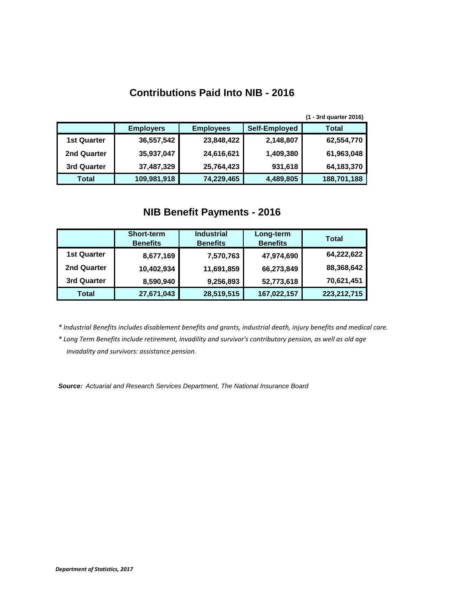## **Contributions Paid Into NIB - 2016**

|                    |                  |                  |               | (1 - 3rd quarter 2016) |
|--------------------|------------------|------------------|---------------|------------------------|
|                    | <b>Employers</b> | <b>Employees</b> | Self-Employed | <b>Total</b>           |
| <b>1st Quarter</b> | 36,557,542       | 23,848,422       | 2,148,807     | 62,554,770             |
| 2nd Quarter        | 35,937,047       | 24,616,621       | 1,409,380     | 61,963,048             |
| 3rd Quarter        | 37,487,329       | 25,764,423       | 931,618       | 64,183,370             |
| Total              | 109,981,918      | 74,229,465       | 4,489,805     | 188,701,188            |

## **NIB Benefit Payments - 2016**

|                    | <b>Short-term</b><br><b>Benefits</b> | <b>Industrial</b><br><b>Benefits</b> | Long-term<br><b>Benefits</b> | <b>Total</b>  |
|--------------------|--------------------------------------|--------------------------------------|------------------------------|---------------|
| <b>1st Quarter</b> | 8,677,169                            | 7,570,763                            | 47,974,690                   | 64,222,622    |
| 2nd Quarter        | 10,402,934                           | 11,691,859                           | 66,273,849                   | 88,368,642    |
| 3rd Quarter        | 8,590,940                            | 9,256,893                            | 52,773,618                   | 70,621,451    |
| <b>Total</b>       | 27,671,043                           | 28,519,515                           | 167,022,157                  | 223, 212, 715 |

*\* Industrial Benefits includes disablement benefits and grants, industrial death, injury benefits and medical care.*

*\* Long Term Benefits include retirement, invadility and survivor's contributory pension, as well as old age invadality and survivors: assistance pension.*

*Source: Actuarial and Research Services Department, The National Insurance Board*